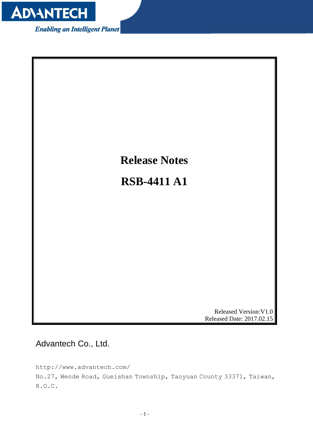

**Enabling an Intelligent Planet** 



<span id="page-0-0"></span>Advantech Co., Ltd.

http://www.advantech.com/ No.27, Wende Road, Gueishan Township, Taoyuan County 33371, Taiwan, R.O.C.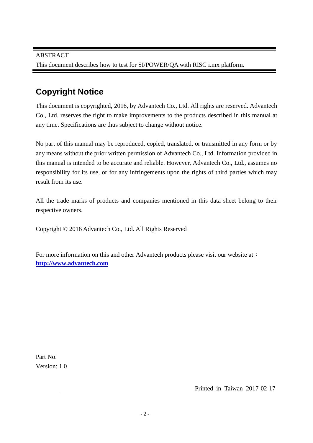# **Copyright Notice**

This document is copyrighted, 2016, by Advantech Co., Ltd. All rights are reserved. Advantech Co., Ltd. reserves the right to make improvements to the products described in this manual at any time. Specifications are thus subject to change without notice.

No part of this manual may be reproduced, copied, translated, or transmitted in any form or by any means without the prior written permission of Advantech Co., Ltd. Information provided in this manual is intended to be accurate and reliable. However, Advantech Co., Ltd., assumes no responsibility for its use, or for any infringements upon the rights of third parties which may result from its use.

All the trade marks of products and companies mentioned in this data sheet belong to their respective owners.

Copyright © 2016 Advantech Co., Ltd. All Rights Reserved

For more information on this and other Advantech products please visit our website at: **http://www.advantech.com**

Part No. Version: 1.0

Printed in Taiwan 2017-02-17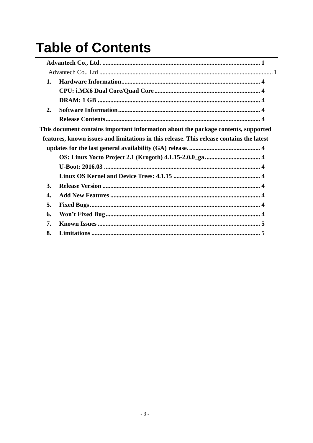# **Table of Contents**

| This document contains important information about the package contents, supported       |
|------------------------------------------------------------------------------------------|
| features, known issues and limitations in this release. This release contains the latest |
|                                                                                          |
|                                                                                          |
|                                                                                          |
|                                                                                          |
|                                                                                          |
|                                                                                          |
|                                                                                          |
|                                                                                          |
|                                                                                          |
|                                                                                          |
|                                                                                          |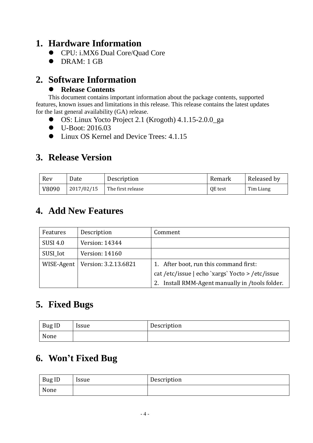#### <span id="page-3-1"></span><span id="page-3-0"></span>**1. Hardware Information**

- CPU: i.MX6 Dual Core/Quad Core
- <span id="page-3-2"></span>• DRAM: 1 GB

#### <span id="page-3-3"></span>**2. Software Information**

#### <span id="page-3-5"></span>**Release Contents**

<span id="page-3-4"></span>This document contains important information about the package contents, supported features, known issues and limitations in this release. This release contains the latest updates for the last general availability (GA) release.

- <span id="page-3-6"></span>OS: Linux Yocto Project 2.1 (Krogoth) 4.1.15-2.0.0\_ga
- <span id="page-3-7"></span>● U-Boot: 2016.03
- <span id="page-3-8"></span> $\bullet$  Linux OS Kernel and Device Trees: 4.1.15

#### <span id="page-3-9"></span>**3. Release Version**

| Rev   | Date       | Description       | Remark  | Released by |
|-------|------------|-------------------|---------|-------------|
| V8090 | 2017/02/15 | The first release | QE test | Tim Liang   |

### <span id="page-3-10"></span>**4. Add New Features**

| Features        | Description                         | Comment                                         |
|-----------------|-------------------------------------|-------------------------------------------------|
| <b>SUSI 4.0</b> | Version: 14344                      |                                                 |
| SUSI_Iot        | Version: 14160                      |                                                 |
|                 | WISE-Agent   Version: $3.2.13.6821$ | 1. After boot, run this command first:          |
|                 |                                     | cat/etc/issue   echo `xargs` Yocto > /etc/issue |
|                 |                                     | 2. Install RMM-Agent manually in /tools folder. |

# <span id="page-3-11"></span>**5. Fixed Bugs**

| <b>Bug ID</b> | Issue | Description |
|---------------|-------|-------------|
| None          |       |             |

# <span id="page-3-12"></span>**6. Won't Fixed Bug**

| Bug ID | <i><u><b>Issue</b></u></i> | Description |
|--------|----------------------------|-------------|
| None   |                            |             |